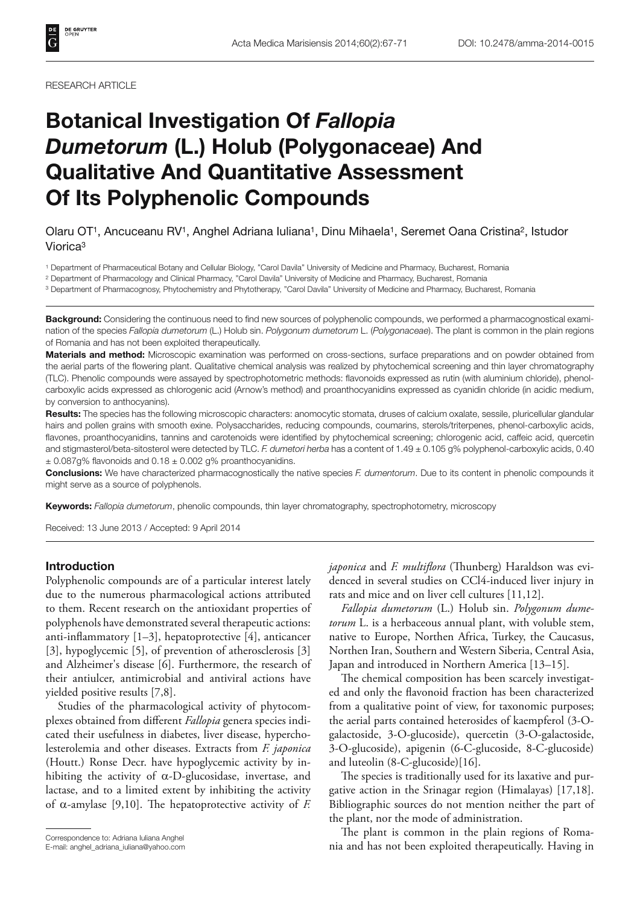RESEARCH ARTICLE

# **Botanical Investigation Of** *Fallopia Dumetorum* **(L.) Holub (Polygonaceae) And Qualitative And Quantitative Assessment Of Its Polyphenolic Compounds**

## Olaru OT1, Ancuceanu RV1, Anghel Adriana Iuliana1, Dinu Mihaela1, Seremet Oana Cristina2, Istudor Viorica3

1 Department of Pharmaceutical Botany and Cellular Biology, "Carol Davila" University of Medicine and Pharmacy, Bucharest, Romania

2 Department of Pharmacology and Clinical Pharmacy, "Carol Davila" University of Medicine and Pharmacy, Bucharest, Romania

3 Department of Pharmacognosy, Phytochemistry and Phytotherapy, "Carol Davila" University of Medicine and Pharmacy, Bucharest, Romania

**Background:** Considering the continuous need to find new sources of polyphenolic compounds, we performed a pharmacognostical examination of the species *Fallopia dumetorum* (L.) Holub sin. *Polygonum dumetorum* L. (*Polygonaceae*). The plant is common in the plain regions of Romania and has not been exploited therapeutically.

**Materials and method:** Microscopic examination was performed on cross-sections, surface preparations and on powder obtained from the aerial parts of the flowering plant. Qualitative chemical analysis was realized by phytochemical screening and thin layer chromatography (TLC). Phenolic compounds were assayed by spectrophotometric methods: flavonoids expressed as rutin (with aluminium chloride), phenolcarboxylic acids expressed as chlorogenic acid (Arnow's method) and proanthocyanidins expressed as cyanidin chloride (in acidic medium, by conversion to anthocyanins).

**Results:** The species has the following microscopic characters: anomocytic stomata, druses of calcium oxalate, sessile, pluricellular glandular hairs and pollen grains with smooth exine. Polysaccharides, reducing compounds, coumarins, sterols/triterpenes, phenol-carboxylic acids, flavones, proanthocyanidins, tannins and carotenoids were identified by phytochemical screening; chlorogenic acid, caffeic acid, quercetin and stigmasterol/beta-sitosterol were detected by TLC. *F. dumetori herba* has a content of 1.49 ± 0.105 g% polyphenol-carboxylic acids, 0.40  $\pm$  0.087g% flavonoids and 0.18  $\pm$  0.002 g% proanthocyanidins.

**Conclusions:** We have characterized pharmacognostically the native species *F. dumentorum*. Due to its content in phenolic compounds it might serve as a source of polyphenols.

**Keywords:** *Fallopia dumetorum*, phenolic compounds, thin layer chromatography, spectrophotometry, microscopy

Received: 13 June 2013 / Accepted: 9 April 2014

#### **Introduction**

Polyphenolic compounds are of a particular interest lately due to the numerous pharmacological actions attributed to them. Recent research on the antioxidant properties of polyphenols have demonstrated several therapeutic actions: anti-inflammatory  $[1-3]$ , hepatoprotective  $[4]$ , anticancer [3], hypoglycemic [5], of prevention of atherosclerosis [3] and Alzheimer's disease [6]. Furthermore, the research of their antiulcer, antimicrobial and antiviral actions have yielded positive results [7,8].

Studies of the pharmacological activity of phytocomplexes obtained from different *Fallopia* genera species indicated their usefulness in diabetes, liver disease, hypercholesterolemia and other diseases. Extracts from *F. japonica* (Houtt.) Ronse Decr. have hypoglycemic activity by inhibiting the activity of  $\alpha$ -D-glucosidase, invertase, and lactase, and to a limited extent by inhibiting the activity of  $\alpha$ -amylase [9,10]. The hepatoprotective activity of *F*.

*japonica* and *F. multiflora* (Thunberg) Haraldson was evidenced in several studies on CCl4-induced liver injury in rats and mice and on liver cell cultures [11,12].

*Fallopia dumetorum* (L.) Holub sin. *Polygonum dumetorum* L. is a herbaceous annual plant, with voluble stem, native to Europe, Northen Africa, Turkey, the Caucasus, Northen Iran, Southern and Western Siberia, Central Asia, Japan and introduced in Northern America [13–15].

The chemical composition has been scarcely investigated and only the flavonoid fraction has been characterized from a qualitative point of view, for taxonomic purposes; the aerial parts contained heterosides of kaempferol (3-Ogalactoside, 3-O-glucoside), quercetin (3-O-galactoside, 3-O-glucoside), apigenin (6-C-glucoside, 8-C-glucoside) and luteolin (8-C-glucoside)[16].

The species is traditionally used for its laxative and purgative action in the Srinagar region (Himalayas) [17,18]. Bibliographic sources do not mention neither the part of the plant, nor the mode of administration.

The plant is common in the plain regions of Roma-Correspondence to: Adriana Iuliana Anghel<br>E-mail: anghel\_adriana\_iuliana@yahoo.com **and has not been exploited therapeutically.** Having in

E-mail: anghel\_adriana\_iuliana@yahoo.com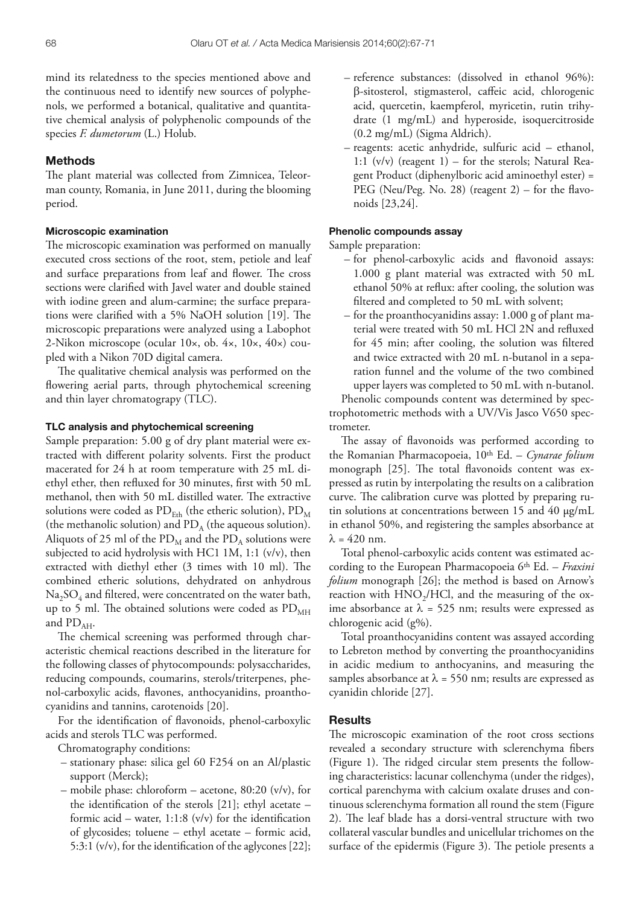mind its relatedness to the species mentioned above and the continuous need to identify new sources of polyphenols, we performed a botanical, qualitative and quantitative chemical analysis of polyphenolic compounds of the species *F. dumetorum* (L.) Holub.

## **Methods**

The plant material was collected from Zimnicea, Teleorman county, Romania, in June 2011, during the blooming period.

#### **Microscopic examination**

The microscopic examination was performed on manually executed cross sections of the root, stem, petiole and leaf and surface preparations from leaf and flower. The cross sections were clarified with Javel water and double stained with iodine green and alum-carmine; the surface preparations were clarified with a 5% NaOH solution [19]. The microscopic preparations were analyzed using a Labophot 2-Nikon microscope (ocular 10×, ob. 4×, 10×, 40×) coupled with a Nikon 70D digital camera.

The qualitative chemical analysis was performed on the flowering aerial parts, through phytochemical screening and thin layer chromatograpy (TLC).

#### **TLC analysis and phytochemical screening**

Sample preparation: 5.00 g of dry plant material were extracted with different polarity solvents. First the product macerated for 24 h at room temperature with 25 mL diethyl ether, then refluxed for 30 minutes, first with 50 mL methanol, then with 50 mL distilled water. The extractive solutions were coded as  $PD_{Eth}$  (the etheric solution),  $PD_{M}$ (the methanolic solution) and  $PD_A$  (the aqueous solution). Aliquots of 25 ml of the  $PD_M$  and the  $PD_A$  solutions were subjected to acid hydrolysis with HC1 1M, 1:1 (v/v), then extracted with diethyl ether  $(3 \times 10^6)$  times with 10 ml). The combined etheric solutions, dehydrated on anhydrous  $Na<sub>2</sub>SO<sub>4</sub>$  and filtered, were concentrated on the water bath, up to 5 ml. The obtained solutions were coded as  $PD_{MH}$ and  $PD_{AH}$ .

The chemical screening was performed through characteristic chemical reactions described in the literature for the following classes of phytocompounds: polysaccharides, reducing compounds, coumarins, sterols/triterpenes, phenol-carboxylic acids, flavones, anthocyanidins, proanthocyanidins and tannins, carotenoids [20].

For the identification of flavonoids, phenol-carboxylic acids and sterols TLC was performed.

- Chromatography conditions:
- stationary phase: silica gel 60 F254 on an Al/plastic support (Merck);
- mobile phase: chloroform acetone, 80:20 (v/v), for the identification of the sterols  $[21]$ ; ethyl acetate – formic acid – water,  $1:1:8$  (v/v) for the identification of glycosides; toluene – ethyl acetate – formic acid, 5:3:1 ( $v/v$ ), for the identification of the aglycones [22];
- reference substances: (dissolved in ethanol 96%): B-sitosterol, stigmasterol, caffeic acid, chlorogenic acid, quercetin, kaempferol, myricetin, rutin trihydrate (1 mg/mL) and hyperoside, isoquercitroside (0.2 mg/mL) (Sigma Aldrich).
- reagents: acetic anhydride, sulfuric acid ethanol, 1:1  $(v/v)$  (reagent 1) – for the sterols; Natural Reagent Product (diphenylboric acid aminoethyl ester) = PEG (Neu/Peg. No. 28) (reagent  $2$ ) – for the flavonoids [23,24].

#### **Phenolic compounds assay**

Sample preparation:

- for phenol-carboxylic acids and flavonoid assays: 1.000 g plant material was extracted with 50 mL ethanol 50% at reflux: after cooling, the solution was filtered and completed to 50 mL with solvent;
- for the proanthocyanidins assay: 1.000 g of plant material were treated with 50 mL HCl 2N and refluxed for 45 min; after cooling, the solution was filtered and twice extracted with 20 mL n-butanol in a separation funnel and the volume of the two combined upper layers was completed to 50 mL with n-butanol.

Phenolic compounds content was determined by spectrophotometric methods with a UV/Vis Jasco V650 spectrometer.

The assay of flavonoids was performed according to the Romanian Pharmacopoeia, 10th Ed. – *Cynarae folium* monograph [25]. The total flavonoids content was expressed as rutin by interpolating the results on a calibration curve. The calibration curve was plotted by preparing rutin solutions at concentrations between 15 and 40 μg/mL in ethanol 50%, and registering the samples absorbance at  $\lambda = 420$  nm.

Total phenol-carboxylic acids content was estimated according to the European Pharmacopoeia 6th Ed. – *Fraxini folium* monograph [26]; the method is based on Arnow's reaction with  $HNO<sub>2</sub>/HCl$ , and the measuring of the oxime absorbance at  $\lambda = 525$  nm; results were expressed as chlorogenic acid (g%).

Total proanthocyanidins content was assayed according to Lebreton method by converting the proanthocyanidins in acidic medium to anthocyanins, and measuring the samples absorbance at  $\lambda$  = 550 nm; results are expressed as cyanidin chloride [27].

#### **Results**

The microscopic examination of the root cross sections revealed a secondary structure with sclerenchyma fibers (Figure 1). The ridged circular stem presents the following characteristics: lacunar collenchyma (under the ridges), cortical parenchyma with calcium oxalate druses and continuous sclerenchyma formation all round the stem (Figure 2). The leaf blade has a dorsi-ventral structure with two collateral vascular bundles and unicellular trichomes on the surface of the epidermis (Figure 3). The petiole presents a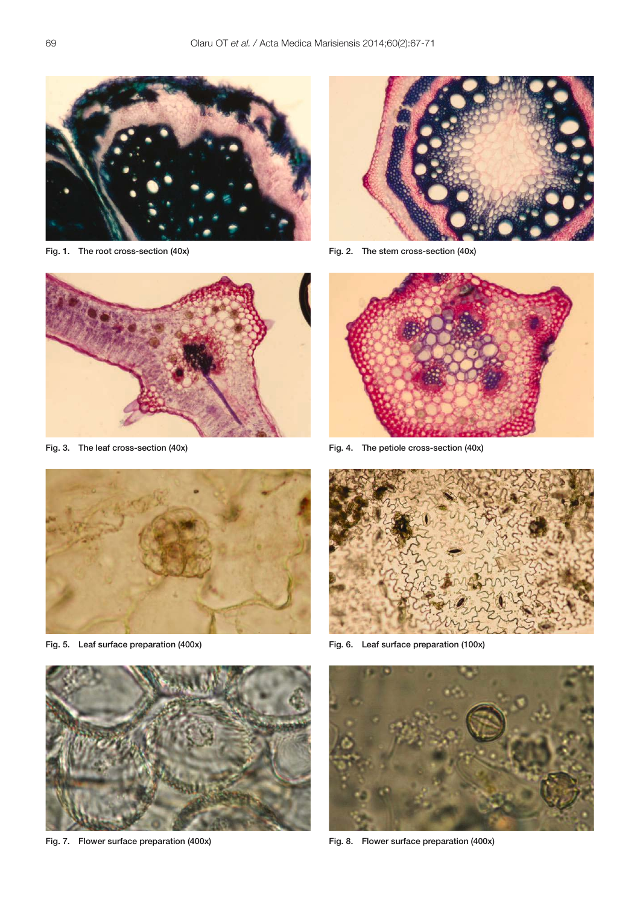

Fig. 1. The root cross-section (40x)



Fig. 3. The leaf cross-section (40x)



Fig. 5. Leaf surface preparation (400x)



Fig. 7. Flower surface preparation (400x)



Fig. 2. The stem cross-section (40x)



Fig. 4. The petiole cross-section (40x)



Fig. 6. Leaf surface preparation (100x)



Fig. 8. Flower surface preparation (400x)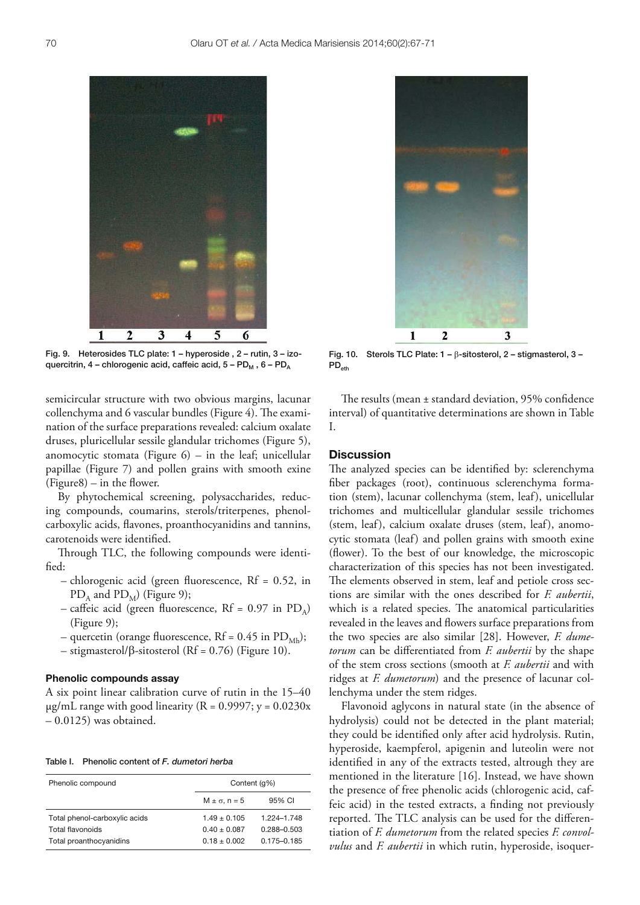

Fig. 9. Heterosides TLC plate: 1 – hyperoside , 2 – rutin, 3 – izoquercitrin, 4 – chlorogenic acid, caffeic acid,  $5 - PD_M$ , 6 –  $PD<sub>A</sub>$ 

semicircular structure with two obvious margins, lacunar collenchyma and 6 vascular bundles (Figure 4). The examination of the surface preparations revealed: calcium oxalate druses, pluricellular sessile glandular trichomes (Figure 5), anomocytic stomata (Figure  $6$ ) – in the leaf; unicellular papillae (Figure 7) and pollen grains with smooth exine  $(Figure8) - in the flower.$ 

By phytochemical screening, polysaccharides, reducing compounds, coumarins, sterols/triterpenes, phenolcarboxylic acids, flavones, proanthocyanidins and tannins, carotenoids were identified.

Through TLC, the following compounds were identified:

- $-$  chlorogenic acid (green fluorescence, Rf = 0.52, in  $PD_A$  and  $PD_M$ ) (Figure 9);
- caffeic acid (green fluorescence, Rf =  $0.97$  in PD<sub>A</sub>) (Figure 9);
- quercetin (orange fluorescence,  $Rf = 0.45$  in  $PD_{Mb}$ );
- $-$  stigmasterol/ $\beta$ -sitosterol (Rf = 0.76) (Figure 10).

## **Phenolic compounds assay**

A six point linear calibration curve of rutin in the 15–40  $\mu$ g/mL range with good linearity (R = 0.9997; y = 0.0230x  $-0.0125$ ) was obtained.

|  | Table I. Phenolic content of F. dumetori herba |  |
|--|------------------------------------------------|--|
|  |                                                |  |

| Phenolic compound             | Content (q%)           |             |
|-------------------------------|------------------------|-------------|
|                               | $M \pm \sigma$ , n = 5 | 95% CI      |
| Total phenol-carboxylic acids | $1.49 + 0.105$         | 1.224-1.748 |
| Total flavonoids              | $0.40 \pm 0.087$       | 0.288-0.503 |
| Total proanthocyanidins       | $0.18 \pm 0.002$       | 0.175-0.185 |



Fig. 10. Sterols TLC Plate:  $1 - \beta$ -sitosterol, 2 – stigmasterol, 3 –  $PD_{eth}$ 

The results (mean  $\pm$  standard deviation, 95% confidence interval) of quantitative determinations are shown in Table I.

#### **Discussion**

The analyzed species can be identified by: sclerenchyma fiber packages (root), continuous sclerenchyma formation (stem), lacunar collenchyma (stem, leaf), unicellular trichomes and multicellular glandular sessile trichomes (stem, leaf), calcium oxalate druses (stem, leaf), anomocytic stomata (leaf) and pollen grains with smooth exine (flower). To the best of our knowledge, the microscopic characterization of this species has not been investigated. The elements observed in stem, leaf and petiole cross sections are similar with the ones described for *F. aubertii*, which is a related species. The anatomical particularities revealed in the leaves and flowers surface preparations from the two species are also similar [28]. However, *F. dumetorum* can be differentiated from *F. aubertii* by the shape of the stem cross sections (smooth at *F. aubertii* and with ridges at *F. dumetorum*) and the presence of lacunar collenchyma under the stem ridges.

Flavonoid aglycons in natural state (in the absence of hydrolysis) could not be detected in the plant material; they could be identified only after acid hydrolysis. Rutin, hyperoside, kaempferol, apigenin and luteolin were not identified in any of the extracts tested, altrough they are mentioned in the literature [16]. Instead, we have shown the presence of free phenolic acids (chlorogenic acid, caffeic acid) in the tested extracts, a finding not previously reported. The TLC analysis can be used for the differentiation of *F. dumetorum* from the related species *F. convolvulus* and *F. aubertii* in which rutin, hyperoside, isoquer